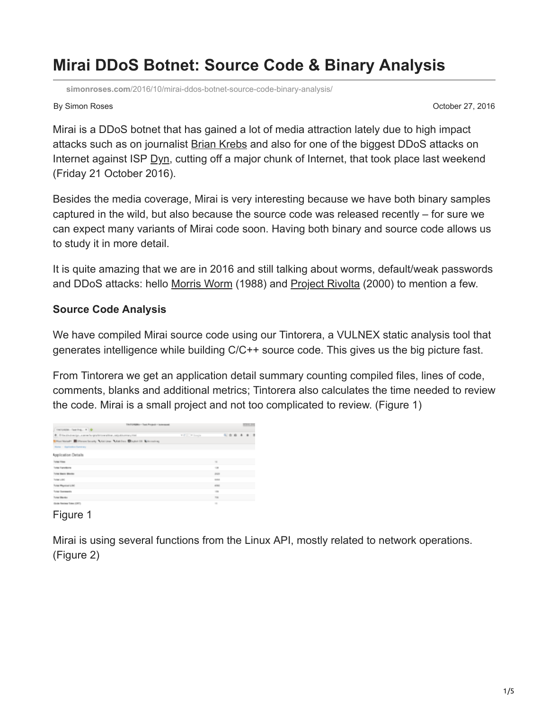# **Mirai DDoS Botnet: Source Code & Binary Analysis**

**simonroses.com**[/2016/10/mirai-ddos-botnet-source-code-binary-analysis/](http://www.simonroses.com/2016/10/mirai-ddos-botnet-source-code-binary-analysis/)

By Simon Roses **Department of the Contract of Contract Contract of Contract Contract Contract October 27, 2016** 

Mirai is a DDoS botnet that has gained a lot of media attraction lately due to high impact attacks such as on journalist [Brian Krebs](http://krebsonsecurity.com/) and also for one of the biggest DDoS attacks on Internet against ISP [Dyn](http://dyn.com/blog/dyn-analysis-summary-of-friday-october-21-attack/), cutting off a major chunk of Internet, that took place last weekend (Friday 21 October 2016).

Besides the media coverage, Mirai is very interesting because we have both binary samples captured in the wild, but also because the source code was released recently – for sure we can expect many variants of Mirai code soon. Having both binary and source code allows us to study it in more detail.

It is quite amazing that we are in 2016 and still talking about worms, default/weak passwords and DDoS attacks: hello [Morris Worm](https://en.wikipedia.org/wiki/Morris_worm) (1988) and [Project Rivolta](https://en.wikipedia.org/wiki/MafiaBoy) (2000) to mention a few.

#### **Source Code Analysis**

We have compiled Mirai source code using our Tintorera, a VULNEX static analysis tool that generates intelligence while building C/C++ source code. This gives us the big picture fast.

From Tintorera we get an application detail summary counting compiled files, lines of code, comments, blanks and additional metrics; Tintorera also calculates the time needed to review the code. Mirai is a small project and not too complicated to review. (Figure 1)

| TIN FOREMA - Twel Project - Is ewenned.                                  |                 |               | <b>COLOR</b> |  |  |  |         |  |  |
|--------------------------------------------------------------------------|-----------------|---------------|--------------|--|--|--|---------|--|--|
| Tourisiana, Fast Proj., # 19                                             |                 |               |              |  |  |  |         |  |  |
| @ Office/individual/px.commerhanges/drivewarblaw.odpublicamary.html      | T.P. D. Friends |               |              |  |  |  | 0.99999 |  |  |
| Hartlendy Millerson Southy A Galilean A Galilean Displace Of Automotives |                 |               |              |  |  |  |         |  |  |
| <b>Parter - Application Surveyers</b>                                    |                 |               |              |  |  |  |         |  |  |
| <b>Application Details</b>                                               |                 |               |              |  |  |  |         |  |  |
| <b>Solar Files</b>                                                       |                 | $\rightarrow$ |              |  |  |  |         |  |  |
| <b>Turist Fanciscos</b>                                                  |                 | $-20$         |              |  |  |  |         |  |  |
| Turias Basica Monday                                                     |                 | <b>Joseph</b> |              |  |  |  |         |  |  |
| Turner L-DC                                                              |                 | <b>SHAR</b>   |              |  |  |  |         |  |  |
| Tutal Reported LOC                                                       |                 | arms:         |              |  |  |  |         |  |  |
| <b>Turial Exergeants</b>                                                 |                 | $\sim$        |              |  |  |  |         |  |  |
| <b>Turiat Blocks</b>                                                     |                 | 786           |              |  |  |  |         |  |  |
| Could Renter Toyo (CRT)                                                  |                 | $\sim$        |              |  |  |  |         |  |  |

#### Figure 1

Mirai is using several functions from the Linux API, mostly related to network operations. (Figure 2)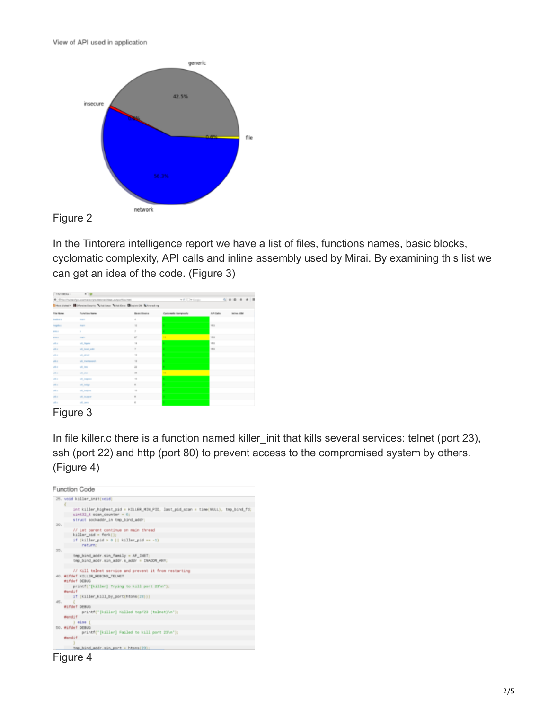View of API used in application



In the Tintorera intelligence report we have a list of files, functions names, basic blocks, cyclomatic complexity, API calls and inline assembly used by Mirai. By examining this list we can get an idea of the code. (Figure 3)

| TINTORICAL :                                                     | $ +$ $+$                                                            |                       |                     |                             |
|------------------------------------------------------------------|---------------------------------------------------------------------|-----------------------|---------------------|-----------------------------|
| @ . Gilbachhunachpo, acement-crystriator exclase, exhaustion man |                                                                     |                       | <b>V C D Visual</b> | 4 6 8 4 8 8                 |
|                                                                  | Hot Voter* Milferoid Searly Addition And Don Milgran 08 & Arrasking |                       |                     |                             |
| File Home                                                        | <b>Function Name</b>                                                | <b>Basic Blocks</b>   | Contempts Comprenty | API Date<br><b>WORK ASM</b> |
| <b>Sedicity</b>                                                  | <b>Hart</b>                                                         | ٠                     |                     |                             |
| <b>Negative</b>                                                  | <b>Hart</b>                                                         | $\mathcal{L}$         |                     | <b>MED</b>                  |
| <b>ATM A</b>                                                     | ٠                                                                   | ×                     |                     |                             |
| <b>STELL</b>                                                     | <b>Hart</b>                                                         | $\mathbb{R}^3$        | m.                  | <b>VEE</b>                  |
| unk a                                                            | off, highly                                                         |                       |                     | <b>VEL</b>                  |
| <b>USB L</b>                                                     | <b>USE SHOW, AND</b>                                                | $\overline{z}$        |                     | <b>VEE</b>                  |
| <b>USB E</b>                                                     | of any                                                              | $\rightarrow$         | ×.                  |                             |
| unk er                                                           | off, memorants                                                      | $\rightarrow$         | ×.                  |                             |
| <b>SALE</b>                                                      | 49, 344                                                             | $\lambda$             | ×.                  |                             |
| <b>USB 4</b>                                                     | and price                                                           | $\scriptstyle\rm III$ | ×                   |                             |
| <b>USB 4</b>                                                     | off, leapers                                                        | $\sim$                |                     |                             |
| <b>AREA</b>                                                      | and particular                                                      | $\,$                  |                     |                             |
| <b>LASH II</b>                                                   | and Jumpine                                                         | $\rightarrow$         |                     |                             |
| <b>SALE</b>                                                      | of Joann                                                            | $\alpha$              | e.                  |                             |
| <b>SALE</b>                                                      | all parts                                                           | $\alpha$              | ٠                   |                             |
| --                                                               | $\overline{\phantom{a}}$                                            |                       |                     |                             |



In file killer.c there is a function named killer\_init that kills several services: telnet (port 23), ssh (port 22) and http (port 80) to prevent access to the compromised system by others. (Figure 4)



Figure 4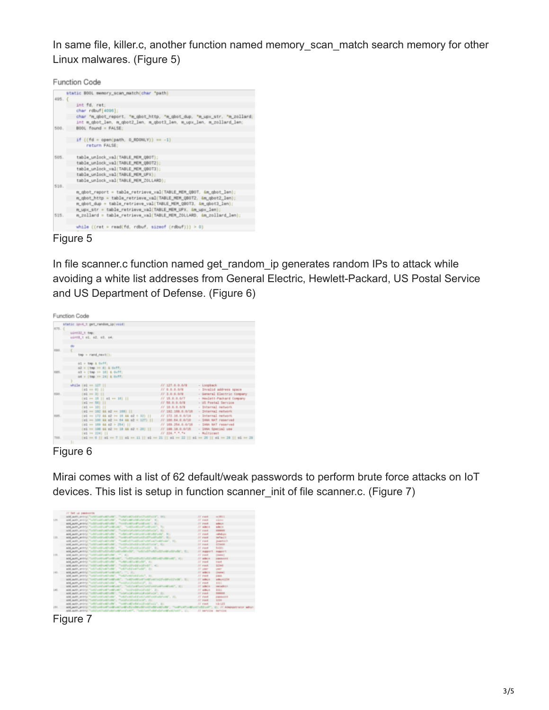In same file, killer.c, another function named memory scan match search memory for other Linux malwares. (Figure 5)

Function Code

| static BOOL memory_scan_match(char "path)                                                                                                      |
|------------------------------------------------------------------------------------------------------------------------------------------------|
| $495.$ {                                                                                                                                       |
| int fd. ret:                                                                                                                                   |
| char rdbuf[4096];                                                                                                                              |
| char "m_gbot_report, "m_gbot_http, "m_gbot_dup, "m_upx_str, "m_zollard;<br>int m_qbot_len, m_qbot2_len, m_qbot3_len, m_upx_len, m_zollard_len; |
| BOOL found = FALSE:                                                                                                                            |
| if $(fd = open(path, 0.BOM(V)) == -1)$                                                                                                         |
| return FALSE:                                                                                                                                  |
| table_unlock_val(TABLE_MEM_QBOT);                                                                                                              |
| table_unlock_val(TABLE_MEM_QB0T2);                                                                                                             |
| table_unlock_val(TABLE_MEM_QB0T3);                                                                                                             |
| table_unlock_val(TABLE_MEM_UPX);                                                                                                               |
| table_unlock_val(TABLE_MEM_ZOLLARD);                                                                                                           |
|                                                                                                                                                |
| m_qbot_report = table_retrieve_val(TABLE_MEM_QBOT, &m_qbot_lem);                                                                               |
| m_gbot_http = table_retrieve_val(TABLE_MEM_0BOT2, &m_gbot2_len);                                                                               |
| m_qbot_dup = table_retrieve_val(TABLE_MEM_QBOT3, &m_qbot3_len);                                                                                |
| m_upx_str = table_retrieve_val(TABLE_MEM_UPX, &m_upx_len);                                                                                     |
| m_zollard = table_retrieve_val(TABLE_MEM_ZOLLARD, &m_zollard_len);                                                                             |
| while $((ret = read(fd, rdbuf, sizeof (rdbuf))) > 0)$                                                                                          |
|                                                                                                                                                |

Figure 5

In file scanner.c function named get random ip generates random IPs to attack while avoiding a white list addresses from General Electric, Hewlett-Packard, US Postal Service and US Department of Defense. (Figure 6)

|             | <b>Function Code</b>                                                                            |                                                               |                                                                     |
|-------------|-------------------------------------------------------------------------------------------------|---------------------------------------------------------------|---------------------------------------------------------------------|
| 675. {      | static lové t get random ip(void)                                                               |                                                               |                                                                     |
|             | uint22 t tmp:<br>uint8_t el. e2, e3, e4;                                                        |                                                               |                                                                     |
| 680.        |                                                                                                 |                                                               |                                                                     |
|             | $tmp = rand\_result[]$ :                                                                        |                                                               |                                                                     |
| <b>RES.</b> | $01 = \text{Im}p \pm 0 \times \text{FT}$<br>o2 = (tmp >> 8) & 0xff;<br>63 = (tmp >> 16) & Oxff; |                                                               |                                                                     |
|             | od = (tmp >> 24) & 0xff;<br>while (oi == 127                                                    |                                                               |                                                                     |
| 690.        | $(44 \times 4)$   <br>$(01 m 3)$ $11$                                                           | // 127.0.0.0/B<br>$JJ$ = 0.0.0.0/8<br>$JJ$ 3.0.0.0/0          | - Loopback<br>- Invalid address space<br>- General Electric Company |
|             | (65 au 15    01 au 16)   <br>(el == 56)                                                         | 11, 18, 0, 0, 0/7<br>J J 56.0.0.0/B                           | - Heulett-Packard Company<br>- US Postal Service                    |
| ess.        | (65 mm 50) 11<br>(65 == 192 && 62 == 199)   <br>(65 == 172 && 62 >= 16 && 62 < 32)              | $III$ 10.0.0.0/8<br>$JJ$ 192.168.0.0/16<br>$JJ$ 172.18.0.0/14 | - Internal network<br>- Internal network<br>- Syternal network      |
|             | (65 == 100 && 62 >= 64 && 62 < 127)   <br>$(44 - 260 - 44 - 264)$                               | // 100.64.0.0/10<br>11.100.254.0.0116                         | - SANA NAT reserved<br>- SANA NAT reserved                          |
|             | (cd == 190 && c2 >= 19 && c2 < 20)   <br>$(65.96.224)$                                          | // 198.18.0.0/15<br>33, 224, 5, 5, 54                         | - SANA Special une<br>- Multicant                                   |
| 700.        | (c) == 6    c) == 7    c) == 11    c) == 21    c) == 22    c) == 26    c) == 29    c) == 29     |                                                               |                                                                     |

#### Figure 6

Mirai comes with a list of 62 default/weak passwords to perform brute force attacks on IoT devices. This list is setup in function scanner\_init of file scanner.c. (Figure 7)



Figure 7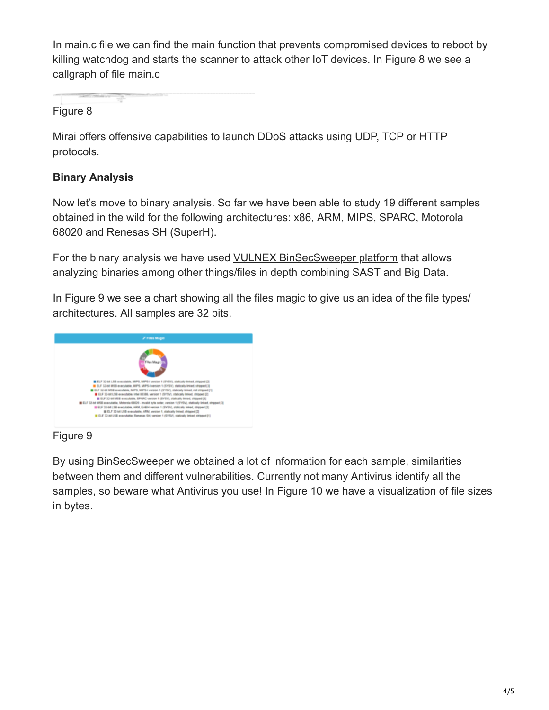In main.c file we can find the main function that prevents compromised devices to reboot by killing watchdog and starts the scanner to attack other IoT devices. In Figure 8 we see a callgraph of file main.c

Figure 8

Mirai offers offensive capabilities to launch DDoS attacks using UDP, TCP or HTTP protocols.

# **Binary Analysis**

Now let's move to binary analysis. So far we have been able to study 19 different samples obtained in the wild for the following architectures: x86, ARM, MIPS, SPARC, Motorola 68020 and Renesas SH (SuperH).

For the binary analysis we have used [VULNEX BinSecSweeper platform](http://www.vulnex.com/en/binsecsweeper.html) that allows analyzing binaries among other things/files in depth combining SAST and Big Data.

In Figure 9 we see a chart showing all the files magic to give us an idea of the file types/ architectures. All samples are 32 bits.



Figure 9

By using BinSecSweeper we obtained a lot of information for each sample, similarities between them and different vulnerabilities. Currently not many Antivirus identify all the samples, so beware what Antivirus you use! In Figure 10 we have a visualization of file sizes in bytes.